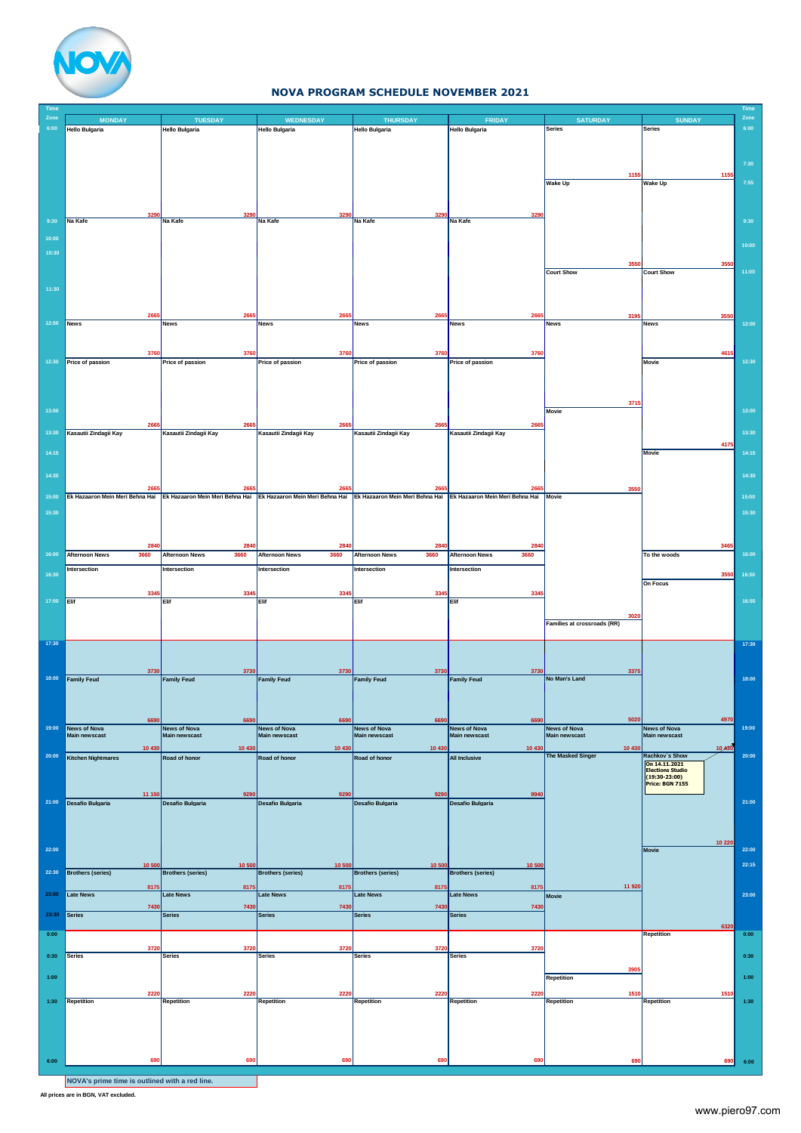

## **NOVA PROGRAM SCHEDULE NOVEMBER 2021**

| <b>Time</b><br>Zone |                                      | <b>TUESDAY</b>                       |                                                                                                                                                                 |                                             |                                        |                                      |                                             | Time<br>Zone |
|---------------------|--------------------------------------|--------------------------------------|-----------------------------------------------------------------------------------------------------------------------------------------------------------------|---------------------------------------------|----------------------------------------|--------------------------------------|---------------------------------------------|--------------|
| 6:00                | <b>MONDAY</b><br>Hello Bulgaria      | <b>Hello Bulgaria</b>                | <b>WEDNESDAY</b><br>Hello Bulgaria                                                                                                                              | <b>THURSDAY</b><br><b>Hello Bulgaria</b>    | <b>FRIDAY</b><br><b>Hello Bulgaria</b> | <b>SATURDAY</b><br>Series            | <b>SUNDAY</b><br>Series                     | 6:00         |
|                     |                                      |                                      |                                                                                                                                                                 |                                             |                                        |                                      |                                             |              |
|                     |                                      |                                      |                                                                                                                                                                 |                                             |                                        |                                      |                                             |              |
|                     |                                      |                                      |                                                                                                                                                                 |                                             |                                        |                                      |                                             | 7:30         |
|                     |                                      |                                      |                                                                                                                                                                 |                                             |                                        | 1155                                 | 1155                                        |              |
|                     |                                      |                                      |                                                                                                                                                                 |                                             |                                        | <b>Wake Up</b>                       | <b>Wake Up</b>                              | 7:55         |
|                     |                                      |                                      |                                                                                                                                                                 |                                             |                                        |                                      |                                             |              |
|                     |                                      |                                      |                                                                                                                                                                 |                                             |                                        |                                      |                                             |              |
| 9:30                | Na Kafe                              | Na Kafe                              | Na Kafe                                                                                                                                                         | Na Kafe                                     | Na Kafe                                |                                      |                                             | 9:30         |
|                     |                                      |                                      |                                                                                                                                                                 |                                             |                                        |                                      |                                             |              |
| 10:00               |                                      |                                      |                                                                                                                                                                 |                                             |                                        |                                      |                                             | 10:00        |
| 10:30               |                                      |                                      |                                                                                                                                                                 |                                             |                                        |                                      |                                             |              |
|                     |                                      |                                      |                                                                                                                                                                 |                                             |                                        | 3550                                 | 3550                                        |              |
|                     |                                      |                                      |                                                                                                                                                                 |                                             |                                        | <b>Court Show</b>                    | <b>Court Show</b>                           | 11:00        |
| 11:30               |                                      |                                      |                                                                                                                                                                 |                                             |                                        |                                      |                                             |              |
|                     |                                      |                                      |                                                                                                                                                                 |                                             |                                        |                                      |                                             |              |
|                     | 266                                  | 2665                                 | 2665                                                                                                                                                            | 2665                                        | 2665                                   | 3195                                 | 3550                                        |              |
| 12:00               | <b>News</b>                          | <b>News</b>                          | <b>News</b>                                                                                                                                                     | <b>News</b>                                 | <b>News</b>                            | <b>News</b>                          | <b>News</b>                                 | 12:00        |
|                     |                                      |                                      |                                                                                                                                                                 |                                             |                                        |                                      |                                             |              |
|                     |                                      |                                      |                                                                                                                                                                 |                                             |                                        |                                      |                                             |              |
| 12:30               | 3760<br>Price of passion             | 3760<br>Price of passion             | 3760<br>Price of passion                                                                                                                                        | 3760<br>Price of passion                    | 3760<br>Price of passion               |                                      | 461<br><b>Movie</b>                         | 12:30        |
|                     |                                      |                                      |                                                                                                                                                                 |                                             |                                        |                                      |                                             |              |
|                     |                                      |                                      |                                                                                                                                                                 |                                             |                                        |                                      |                                             |              |
|                     |                                      |                                      |                                                                                                                                                                 |                                             |                                        |                                      |                                             |              |
| 13:00               |                                      |                                      |                                                                                                                                                                 |                                             |                                        | 3715<br>Movie                        |                                             | 13:00        |
|                     |                                      |                                      |                                                                                                                                                                 |                                             |                                        |                                      |                                             |              |
| 13:30               | 266<br>Kasautii Zindagii Kay         | 266<br>Kasautii Zindagii Kay         | 266<br>Kasautii Zindagii Kay                                                                                                                                    | 266<br>Kasautii Zindagii Kay                | 2665<br>Kasautii Zindagii Kay          |                                      |                                             | 13:30        |
|                     |                                      |                                      |                                                                                                                                                                 |                                             |                                        |                                      | 4175                                        |              |
| 14:15               |                                      |                                      |                                                                                                                                                                 |                                             |                                        |                                      | Movie                                       | 14:15        |
|                     |                                      |                                      |                                                                                                                                                                 |                                             |                                        |                                      |                                             |              |
| 14:30               |                                      |                                      |                                                                                                                                                                 |                                             |                                        |                                      |                                             | 14:30        |
|                     | 266                                  | 266                                  | 266                                                                                                                                                             | 266                                         | 2665                                   | 3550                                 |                                             |              |
| 15:00               |                                      |                                      | Ek Hazaaron Mein Meri Behna Hai Ek Hazaaron Mein Meri Behna Hai Ek Hazaaron Mein Meri Behna Hai Ek Hazaaron Mein Meri Behna Hai Ek Hazaaron Mein Meri Behna Hai |                                             |                                        | Movie                                |                                             | 15:00        |
| 15:30               |                                      |                                      |                                                                                                                                                                 |                                             |                                        |                                      |                                             | 15:30        |
|                     |                                      |                                      |                                                                                                                                                                 |                                             |                                        |                                      |                                             |              |
|                     |                                      |                                      |                                                                                                                                                                 |                                             |                                        |                                      |                                             |              |
|                     | 284                                  | 284                                  | 284                                                                                                                                                             | 284                                         | 2840                                   |                                      | 346                                         |              |
| 16:00               | <b>Afternoon News</b><br>3660        | 3660<br><b>Afternoon News</b>        | 3660<br><b>Afternoon News</b>                                                                                                                                   | <b>Afternoon News</b><br>3660               | <b>Afternoon News</b><br>3660          |                                      | To the woods                                | 16:00        |
|                     | Intersection                         | Intersection                         | Intersection                                                                                                                                                    | Intersection                                | Intersection                           |                                      |                                             |              |
| 16:30               |                                      |                                      |                                                                                                                                                                 |                                             |                                        |                                      | 3550<br><b>On Focus</b>                     | 16:30        |
|                     | 3345                                 | 3345                                 | 3345                                                                                                                                                            | 3345                                        | 3345                                   |                                      |                                             |              |
| 17:00 Elif          |                                      | Elif                                 | Elif                                                                                                                                                            | Elif                                        | Elif                                   |                                      |                                             | 16:55        |
|                     |                                      |                                      |                                                                                                                                                                 |                                             |                                        | 3020                                 |                                             |              |
|                     |                                      |                                      |                                                                                                                                                                 |                                             |                                        | Families at crossroads (RR)          |                                             |              |
|                     |                                      |                                      |                                                                                                                                                                 |                                             |                                        |                                      |                                             |              |
| 17:30               |                                      |                                      |                                                                                                                                                                 |                                             |                                        |                                      |                                             | 17:30        |
|                     |                                      |                                      |                                                                                                                                                                 |                                             |                                        |                                      |                                             |              |
| 18:00               | 3730<br><b>Family Feud</b>           | 3730<br><b>Family Feud</b>           | 3730<br><b>Family Feud</b>                                                                                                                                      | 3730<br><b>Family Feud</b>                  | 3730<br><b>Family Feud</b>             | 3375<br>No Man's Land                |                                             | 18:00        |
|                     |                                      |                                      |                                                                                                                                                                 |                                             |                                        |                                      |                                             |              |
|                     |                                      |                                      |                                                                                                                                                                 |                                             |                                        |                                      |                                             |              |
|                     |                                      |                                      |                                                                                                                                                                 |                                             |                                        |                                      |                                             |              |
|                     | 6690                                 | 6690                                 | 6690                                                                                                                                                            | 6690                                        | 6690                                   | 5020                                 | 4970                                        |              |
| 19:00               | <b>News of Nova</b><br>Main newscast | <b>News of Nova</b><br>Main newscast | <b>News of Nova</b><br><b>Main newscast</b>                                                                                                                     | <b>News of Nova</b><br><b>Main newscast</b> | <b>News of Nova</b><br>Main newscast   | <b>News of Nova</b><br>Main newscast | <b>News of Nova</b><br><b>Main newscast</b> | 19:00        |
|                     | 10 430                               | 10 430                               | 10 430                                                                                                                                                          | 10 430                                      | 10 430                                 | 10 430                               | 10 430                                      |              |
| 20:00               | <b>Kitchen Nightmares</b>            | Road of honor                        | Road of honor                                                                                                                                                   | Road of honor                               | <b>All Inclusive</b>                   | The Masked Singer                    | Rachkov's Show                              | 20:00        |
|                     |                                      |                                      |                                                                                                                                                                 |                                             |                                        |                                      | On 14.11.2021<br><b>Elections Studio</b>    |              |
|                     |                                      |                                      |                                                                                                                                                                 |                                             |                                        |                                      | $(19:30-23:00)$<br><b>Price: BGN 7155</b>   |              |
|                     | 11 150                               | 9290                                 | 929                                                                                                                                                             | 9290                                        | 9940                                   |                                      |                                             |              |
| 21:00               | Desafio Bulgaria                     | <b>Desafio Bulgaria</b>              | Desafio Bulgaria                                                                                                                                                | Desafio Bulgaria                            | <b>Desafio Bulgaria</b>                |                                      |                                             | 21:00        |
|                     |                                      |                                      |                                                                                                                                                                 |                                             |                                        |                                      |                                             |              |
|                     |                                      |                                      |                                                                                                                                                                 |                                             |                                        |                                      |                                             |              |
|                     |                                      |                                      |                                                                                                                                                                 |                                             |                                        |                                      | 10 220                                      |              |
| 22:00               |                                      |                                      |                                                                                                                                                                 |                                             |                                        |                                      | Movie                                       | 22:00        |
|                     | 10 50                                | 10 50                                | 10 50                                                                                                                                                           | 10 50                                       | 10 500                                 |                                      |                                             | 22:15        |
| 22:30               | <b>Brothers (series)</b>             | <b>Brothers (series)</b>             | <b>Brothers (series)</b>                                                                                                                                        | <b>Brothers (series)</b>                    | <b>Brothers (series)</b>               |                                      |                                             |              |
|                     | 8175                                 | 8175                                 | 8175                                                                                                                                                            | 8175                                        | 8175                                   | 11 920                               |                                             |              |
| 23:00               | <b>Late News</b>                     | Late News                            | <b>Late News</b>                                                                                                                                                | Late News                                   | <b>Late News</b>                       | Movie                                |                                             | 23:00        |
|                     | 7430                                 | 7430                                 | 7430                                                                                                                                                            | 7430                                        | 7430                                   |                                      |                                             |              |
| 23:30               | <b>Series</b>                        | Series                               | <b>Series</b>                                                                                                                                                   | <b>Series</b>                               | Series                                 |                                      |                                             |              |
| 0:00                |                                      |                                      |                                                                                                                                                                 |                                             |                                        |                                      | 6320<br>Repetition                          | 0:00         |
|                     | 3720                                 | 3720                                 | 3720                                                                                                                                                            | 3720                                        | 3720                                   |                                      |                                             |              |
| 0:30                | <b>Series</b>                        | <b>Series</b>                        | <b>Series</b>                                                                                                                                                   | <b>Series</b>                               | <b>Series</b>                          |                                      |                                             | 0:30         |
|                     |                                      |                                      |                                                                                                                                                                 |                                             |                                        | 390                                  |                                             |              |
| 1:00                |                                      |                                      |                                                                                                                                                                 |                                             |                                        | Repetition                           |                                             | 1:00         |
|                     | 2220                                 | 2220                                 | 2220                                                                                                                                                            | 2220                                        | 2220                                   | 1510                                 | 1510                                        |              |
| 1:30                | <b>Repetition</b>                    | <b>Repetition</b>                    | Repetition                                                                                                                                                      | Repetition                                  | Repetition                             | <b>Repetition</b>                    | Repetition                                  | 1:30         |
|                     |                                      |                                      |                                                                                                                                                                 |                                             |                                        |                                      |                                             |              |
|                     |                                      |                                      |                                                                                                                                                                 |                                             |                                        |                                      |                                             |              |
|                     |                                      |                                      |                                                                                                                                                                 |                                             |                                        |                                      |                                             |              |
|                     |                                      |                                      |                                                                                                                                                                 |                                             |                                        |                                      |                                             |              |
| 6:00                | 690                                  | 69                                   | 69                                                                                                                                                              | 69                                          | 690                                    | 690                                  | 690                                         | 6:00         |
|                     |                                      |                                      |                                                                                                                                                                 |                                             |                                        |                                      |                                             |              |

**NOVA's prime time is outlined with a red line.**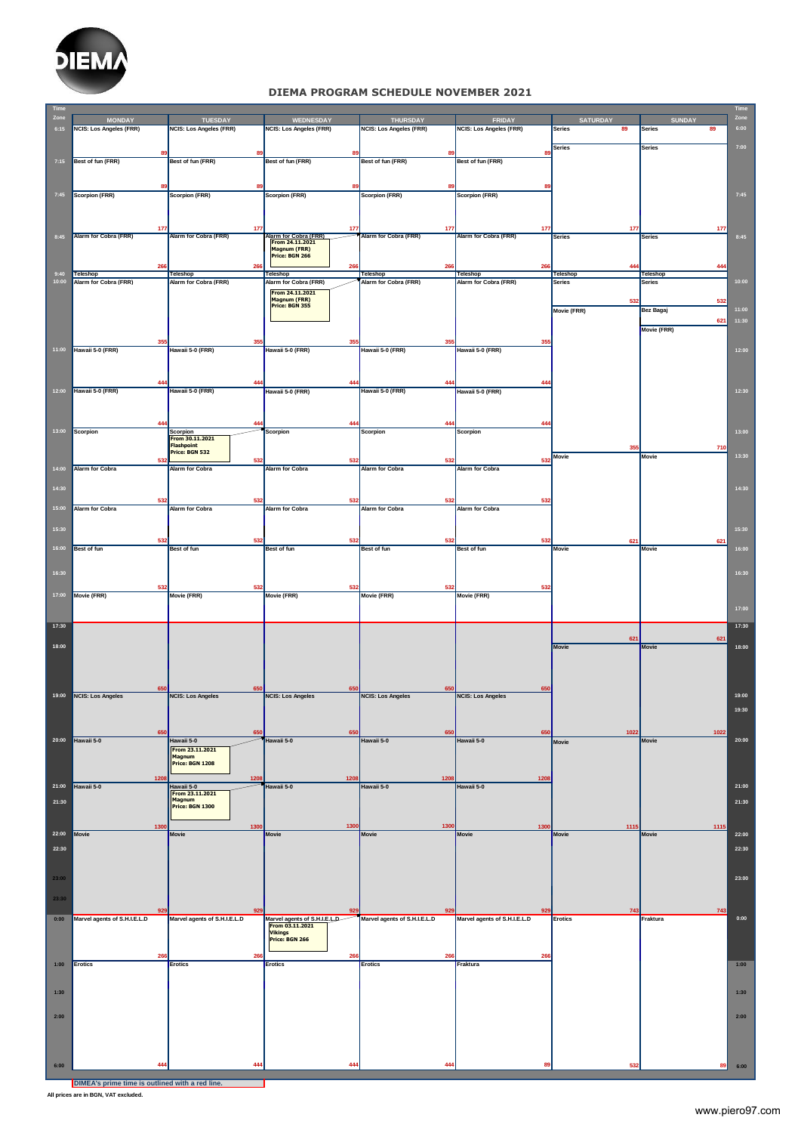

## **DIEMA PROGRAM SCHEDULE NOVEMBER 2021**

| <b>Time</b> |                                |                                |                                                 |                                    |                                |                      |                      | Time  |
|-------------|--------------------------------|--------------------------------|-------------------------------------------------|------------------------------------|--------------------------------|----------------------|----------------------|-------|
| Zone        | <b>MONDAY</b>                  | <b>TUESDAY</b>                 | WEDNESDAY                                       | <b>THURSDAY</b>                    | <b>FRIDAY</b>                  | <b>SATURDAY</b>      | <b>SUNDAY</b>        | Zone  |
| 6:15        | <b>NCIS: Los Angeles (FRR)</b> | <b>NCIS: Los Angeles (FRR)</b> | <b>NCIS: Los Angeles (FRR)</b>                  | <b>NCIS: Los Angeles (FRR)</b>     | <b>NCIS: Los Angeles (FRR)</b> | Series<br>89         | Series<br>89         | 6:00  |
|             |                                |                                |                                                 |                                    |                                | <b>Series</b>        | <b>Series</b>        | 7:00  |
|             | 89                             | 89                             | 89                                              |                                    | 89                             |                      |                      |       |
| 7:15        | Best of fun (FRR)              | Best of fun (FRR)              | Best of fun (FRR)                               | Best of fun (FRR)                  | Best of fun (FRR)              |                      |                      |       |
|             |                                |                                |                                                 |                                    |                                |                      |                      |       |
|             |                                |                                |                                                 |                                    |                                |                      |                      |       |
| 7:45        | Scorpion (FRR)                 | <b>Scorpion (FRR)</b>          | <b>Scorpion (FRR)</b>                           | <b>Scorpion (FRR)</b>              | <b>Scorpion (FRR)</b>          |                      |                      | 7:45  |
|             |                                |                                |                                                 |                                    |                                |                      |                      |       |
|             |                                |                                |                                                 |                                    |                                |                      |                      |       |
|             | 177                            | 177                            | 177                                             | 17                                 | 17                             | 17 <sub>1</sub>      | 177                  |       |
| 8:45        | <b>Alarm for Cobra (FRR)</b>   | <b>Alarm for Cobra (FRR)</b>   | Alarm for Cobra (FRR)<br>From 24.11.2021        | <b>Alarm for Cobra (FRR)</b>       | <b>Alarm for Cobra (FRR)</b>   | <b>Series</b>        | <b>Series</b>        | 8:45  |
|             |                                |                                | Magnum (FRR)<br>Price: BGN 266                  |                                    |                                |                      |                      |       |
|             | 26                             | 266                            | 266                                             | 266                                | 26                             | 44                   | 44                   |       |
| 9:40        | Teleshop                       | Teleshop                       | Teleshop                                        | <b>Teleshop</b>                    | Teleshop                       | <b>Teleshop</b>      | Teleshop             |       |
| 10:00       | Alarm for Cobra (FRR)          | Alarm for Cobra (FRR)          | Alarm for Cobra (FRR)                           | Alarm for Cobra (FRR)              | Alarm for Cobra (FRR)          | Series               | <b>Series</b>        | 10:00 |
|             |                                |                                | From 24.11.2021                                 |                                    |                                |                      |                      |       |
|             |                                |                                | Magnum (FRR)<br>Price: BGN 355                  |                                    |                                | 53                   | 532                  | 11:00 |
|             |                                |                                |                                                 |                                    |                                | Movie (FRR)          | Bez Bagaj            |       |
|             |                                |                                |                                                 |                                    |                                |                      | 621<br>Movie (FRR)   | 11:30 |
|             |                                |                                |                                                 |                                    |                                |                      |                      |       |
| 11:00       | 355<br>Hawaii 5-0 (FRR)        | 355<br>Hawaii 5-0 (FRR)        | 355<br>Hawaii 5-0 (FRR)                         | 35<br>Hawaii 5-0 (FRR)             | 355<br>Hawaii 5-0 (FRR)        |                      |                      | 12:00 |
|             |                                |                                |                                                 |                                    |                                |                      |                      |       |
|             |                                |                                |                                                 |                                    |                                |                      |                      |       |
|             | 44                             | 444                            | 444                                             | 444                                | 44                             |                      |                      |       |
| 12:00       | Hawaii 5-0 (FRR)               | Hawaii 5-0 (FRR)               | Hawaii 5-0 (FRR)                                | Hawaii 5-0 (FRR)                   | Hawaii 5-0 (FRR)               |                      |                      | 12:30 |
|             |                                |                                |                                                 |                                    |                                |                      |                      |       |
|             |                                |                                |                                                 |                                    |                                |                      |                      |       |
|             | 44                             | 44                             | 444                                             | 44                                 | 44                             |                      |                      |       |
| 13:00       | Scorpion                       | <b>Scorpion</b>                | <b>Scorpion</b>                                 | <b>Scorpion</b>                    | <b>Scorpion</b>                |                      |                      | 13:00 |
|             |                                | From 30.11.2021                |                                                 |                                    |                                |                      |                      |       |
|             |                                | Flashpoint<br>Price: BGN 532   |                                                 |                                    |                                | 35<br>Movie          | 710<br>Movie         | 13:30 |
|             | 532                            | 532<br><b>Alarm for Cobra</b>  | 532                                             | 532                                | 532<br><b>Alarm for Cobra</b>  |                      |                      |       |
| 14:00       | <b>Alarm for Cobra</b>         |                                | <b>Alarm for Cobra</b>                          | <b>Alarm for Cobra</b>             |                                |                      |                      |       |
| 14:30       |                                |                                |                                                 |                                    |                                |                      |                      | 14:30 |
|             | 532                            | 532                            | 532                                             | 532                                | 532                            |                      |                      |       |
| 15:00       | <b>Alarm for Cobra</b>         | <b>Alarm for Cobra</b>         | <b>Alarm for Cobra</b>                          | <b>Alarm for Cobra</b>             | <b>Alarm for Cobra</b>         |                      |                      |       |
|             |                                |                                |                                                 |                                    |                                |                      |                      |       |
| 15:30       |                                |                                |                                                 |                                    |                                |                      |                      | 15:30 |
|             | 532                            | 532                            | 532                                             | 532                                | 532                            | 621                  | 621                  |       |
| 16:00       | <b>Best of fun</b>             | Best of fun                    | Best of fun                                     | Best of fun                        | Best of fun                    | <b>Movie</b>         | <b>Movie</b>         | 16:00 |
|             |                                |                                |                                                 |                                    |                                |                      |                      |       |
| 16:30       |                                |                                |                                                 |                                    |                                |                      |                      | 16:30 |
|             |                                |                                |                                                 |                                    |                                |                      |                      |       |
| 17:00       | 53<br>Movie (FRR)              | 53<br>Movie (FRR)              | 532<br>Movie (FRR)                              | 53<br>Movie (FRR)                  | 532<br>Movie (FRR)             |                      |                      |       |
|             |                                |                                |                                                 |                                    |                                |                      |                      |       |
|             |                                |                                |                                                 |                                    |                                |                      |                      | 17:00 |
| 17:30       |                                |                                |                                                 |                                    |                                |                      |                      | 17:30 |
|             |                                |                                |                                                 |                                    |                                | 621                  | 621                  |       |
| 18:00       |                                |                                |                                                 |                                    |                                | Movie                | Movie                | 18:00 |
|             |                                |                                |                                                 |                                    |                                |                      |                      |       |
|             |                                |                                |                                                 |                                    |                                |                      |                      |       |
|             |                                |                                |                                                 |                                    |                                |                      |                      |       |
|             |                                | 65                             | 650                                             | 65                                 | 65                             |                      |                      |       |
| 19:00       | NCIS: Los Angeles              | <b>NCIS: Los Angeles</b>       | <b>NCIS: Los Angeles</b>                        | <b>NCIS: Los Angeles</b>           | <b>NCIS: Los Angeles</b>       |                      |                      | 19:00 |
|             |                                |                                |                                                 |                                    |                                |                      |                      |       |
|             |                                |                                |                                                 |                                    |                                |                      |                      |       |
|             | 65                             | 651                            | 650                                             | 650                                | 650                            | 1022                 | 1022                 |       |
| 20:00       | Hawaii 5-0                     | Hawaii 5-0                     | Hawaii 5-0                                      | Hawaii 5-0                         | Hawaii 5-0                     | Movie                | Movie                | 20:00 |
|             |                                | From 23.11.2021<br>Magnum      |                                                 |                                    |                                |                      |                      |       |
|             |                                | Price: BGN 1208                |                                                 |                                    |                                |                      |                      |       |
|             | 120                            | 1208                           | 1208                                            | 1208                               | 1208                           |                      |                      |       |
| 21:00       | Hawaii 5-0                     | Hawaii 5-0                     | Hawaii 5-0                                      | Hawaii 5-0                         | Hawaii 5-0                     |                      |                      | 21:00 |
| 21:30       |                                | From 23.11.2021<br>Magnum      |                                                 |                                    |                                |                      |                      | 21:30 |
|             |                                | Price: BGN 1300                |                                                 |                                    |                                |                      |                      |       |
|             |                                |                                |                                                 |                                    |                                |                      |                      |       |
| 22:00       | 1300<br>Movie                  | 1300<br><b>Movie</b>           | 1300<br><b>Movie</b>                            | 1300<br><b>Movie</b>               | 1300<br><b>Movie</b>           | 1115<br><b>Movie</b> | 1115<br><b>Movie</b> | 22:00 |
|             |                                |                                |                                                 |                                    |                                |                      |                      |       |
| 22:30       |                                |                                |                                                 |                                    |                                |                      |                      | 22:30 |
|             |                                |                                |                                                 |                                    |                                |                      |                      |       |
|             |                                |                                |                                                 |                                    |                                |                      |                      |       |
| 23:00       |                                |                                |                                                 |                                    |                                |                      |                      | 23:00 |
| 23:30       |                                |                                |                                                 |                                    |                                |                      |                      |       |
|             | 92                             | 92!                            | 92                                              |                                    | 92                             |                      |                      |       |
| 0:00        | Marvel agents of S.H.I.E.L.D   | Marvel agents of S.H.I.E.L.D   |                                                 | 92<br>Marvel agents of S.H.I.E.L.D | Marvel agents of S.H.I.E.L.D   | 743<br>Erotics       | 743<br>Fraktura      | 0:00  |
|             |                                |                                | Marvel agents of S.H.I.E.L.D<br>From 03.11.2021 |                                    |                                |                      |                      |       |
|             |                                |                                | <b>Vikings</b><br>Price: BGN 266                |                                    |                                |                      |                      |       |
|             |                                |                                |                                                 |                                    |                                |                      |                      |       |
|             | 266<br>Erotics                 | 266<br>Erotics                 | 266<br>Erotics                                  | 266<br><b>Erotics</b>              | 266<br>Fraktura                |                      |                      |       |
| 1:00        |                                |                                |                                                 |                                    |                                |                      |                      | 1:00  |
|             |                                |                                |                                                 |                                    |                                |                      |                      |       |
| 1:30        |                                |                                |                                                 |                                    |                                |                      |                      | 1:30  |
|             |                                |                                |                                                 |                                    |                                |                      |                      |       |
| 2:00        |                                |                                |                                                 |                                    |                                |                      |                      | 2:00  |
|             |                                |                                |                                                 |                                    |                                |                      |                      |       |
|             |                                |                                |                                                 |                                    |                                |                      |                      |       |
|             |                                |                                |                                                 |                                    |                                |                      |                      |       |
|             |                                |                                |                                                 |                                    |                                |                      |                      |       |
| 6:00        | 444                            | 444                            | 444                                             | 44                                 | 89                             | 532                  | 89                   | 6:00  |

**DIMEA's prime time is outlined with a red line.**

 $\overline{\phantom{a}}$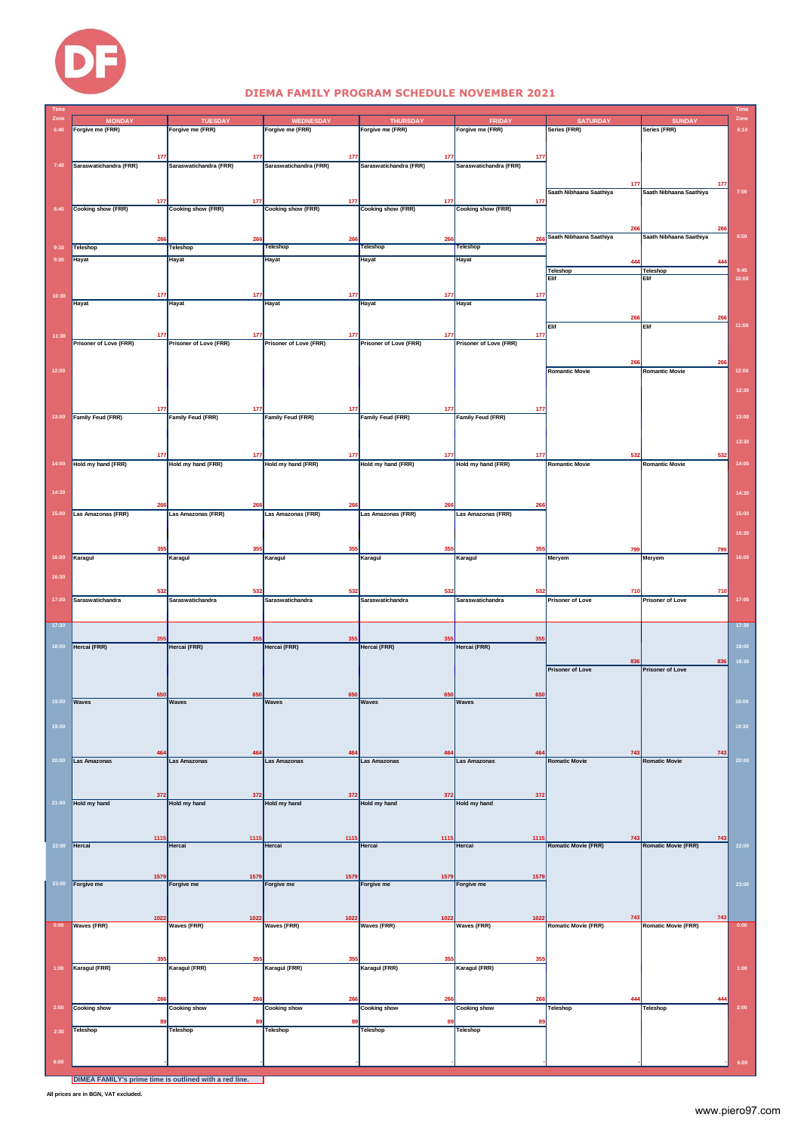

#### **DIEMA FAMILY PROGRAM SCHEDULE NOVEMBER 2021**

|       |                              |                               |                               |                               |                               |                                 |                            | <b>Im</b> |
|-------|------------------------------|-------------------------------|-------------------------------|-------------------------------|-------------------------------|---------------------------------|----------------------------|-----------|
| 6:40  | <b>MONDAY</b>                | <b>TUESDAY</b>                | <b>WEDNESDAY</b>              | <b>THURSDAY</b>               | <b>FRIDA</b>                  | <b>SATURDAY</b><br>Series (FRR) | <b>SUNDAY</b>              | 6:10      |
|       | Forgive me (FRR)             | Forgive me (FRR)              | Forgive me (FRR)              | Forgive me (FRR)              | Forgive me (FRR)              |                                 | Series (FRR)               |           |
|       |                              |                               |                               |                               |                               |                                 |                            |           |
|       | 17                           | 177                           | 177                           | 177                           | 177                           |                                 |                            |           |
| 7:40  | Saraswatichandra (FRR)       | Saraswatichandra (FRR)        | Saraswatichandra (FRR)        | Saraswatichandra (FRR)        | Saraswatichandra (FRR)        |                                 |                            |           |
|       |                              |                               |                               |                               |                               | 17                              | 177                        |           |
|       |                              |                               |                               |                               |                               | Saath Nibhaana Saathiya         | Saath Nibhaana Saathiya    | 7:00      |
|       | 17                           | 177                           | 177                           | 177                           | 177                           |                                 |                            |           |
| 8:40  | <b>Cooking show (FRR)</b>    | <b>Cooking show (FRR)</b>     | <b>Cooking show (FRR)</b>     | <b>Cooking show (FRR)</b>     | <b>Cooking show (FRR)</b>     |                                 |                            |           |
|       |                              |                               |                               |                               |                               | 26                              | 26                         |           |
|       | 26                           | 266                           | 266                           | 266                           | 266                           | Saath Nibhaana Saathiya         | Saath Nibhaana Saathiya    | 8:50      |
| 9:10  | Teleshop                     | Teleshop                      | Teleshop                      | Teleshop                      | Teleshop                      |                                 |                            |           |
| 9:30  | Hayat                        | Hayat                         | <b>Hayat</b>                  | Hayat                         | Hayat                         | 44                              |                            |           |
|       |                              |                               |                               |                               |                               | <b>Teleshop</b>                 | Teleshop                   | 9:45      |
|       |                              |                               |                               |                               |                               | Elif                            | Elif                       | 10:00     |
| 10:30 | 177                          | 177                           | 177                           | 177                           | 177                           |                                 |                            |           |
|       | Hayat                        | <b>Hayat</b>                  | Hayat                         | Hayat                         | Hayat                         |                                 |                            |           |
|       |                              |                               |                               |                               |                               | 266                             | 266                        |           |
|       |                              |                               |                               |                               |                               | Elif                            | Elif                       | 11:00     |
| 11:30 | 17<br>Prisoner of Love (FRR) | 177<br>Prisoner of Love (FRR) | 177<br>Prisoner of Love (FRR) | 177<br>Prisoner of Love (FRR) | 177<br>Prisoner of Love (FRR) |                                 |                            |           |
|       |                              |                               |                               |                               |                               |                                 |                            |           |
|       |                              |                               |                               |                               |                               | 26                              | 266                        |           |
| 12:00 |                              |                               |                               |                               |                               | <b>Romantic Movie</b>           | <b>Romantic Movie</b>      | 12:00     |
|       |                              |                               |                               |                               |                               |                                 |                            |           |
|       |                              |                               |                               |                               |                               |                                 |                            | 12:30     |
|       | 17                           | 177                           | 177                           | 177                           | 177                           |                                 |                            |           |
| 13:00 | <b>Family Feud (FRR)</b>     | Family Feud (FRR)             | Family Feud (FRR)             | Family Feud (FRR)             | Family Feud (FRR)             |                                 |                            | 13:00     |
|       |                              |                               |                               |                               |                               |                                 |                            |           |
|       |                              |                               |                               |                               |                               |                                 |                            | 13:30     |
|       | 17                           | 177                           | 177                           | 177                           | 17                            | 53                              | 532                        |           |
| 14:00 | Hold my hand (FRR)           | Hold my hand (FRR)            | Hold my hand (FRR)            | Hold my hand (FRR)            | Hold my hand (FRR)            | <b>Romantic Movie</b>           | <b>Romantic Movie</b>      | 14:00     |
|       |                              |                               |                               |                               |                               |                                 |                            |           |
| 14:30 |                              |                               |                               |                               |                               |                                 |                            | 14:30     |
|       |                              |                               |                               |                               |                               |                                 |                            |           |
| 15:00 | 26<br>Las Amazonas (FRR)     | 266<br>Las Amazonas (FRR)     | 266<br>Las Amazonas (FRR)     | 266<br>Las Amazonas (FRR)     | 266<br>Las Amazonas (FRR)     |                                 |                            | 15:00     |
|       |                              |                               |                               |                               |                               |                                 |                            |           |
|       |                              |                               |                               |                               |                               |                                 |                            | 15:30     |
|       | 35                           | 355                           | 355                           | 355                           | 35                            | 79                              | 799                        |           |
| 16:00 | Karagul                      | Karagul                       | Karagul                       | Karagul                       | Karagul                       | Meryem                          | Meryem                     | 16:00     |
|       |                              |                               |                               |                               |                               |                                 |                            |           |
| 16:30 |                              |                               |                               |                               |                               |                                 |                            |           |
|       | 53                           | 532                           | 532                           | 532                           | 53                            | 71                              | 710                        |           |
| 17:00 | Saraswatichandra             | <b>Saraswatichandra</b>       | Saraswatichandra              | <b>Saraswatichandra</b>       | Saraswatichandra              | <b>Prisoner of Love</b>         | <b>Prisoner of Love</b>    | 17:00     |
|       |                              |                               |                               |                               |                               |                                 |                            |           |
| 17:30 |                              |                               |                               |                               |                               |                                 |                            | 17:30     |
|       |                              |                               | 35                            | 35                            | 35                            |                                 |                            |           |
| 18:00 | Hercai (FRR)                 | Hercai (FRR)                  | Hercai (FRR)                  | Hercai (FRR)                  | Hercai (FRR)                  |                                 |                            | 18:00     |
|       |                              |                               |                               |                               |                               | 836                             | 836                        | 18:30     |
|       |                              |                               |                               |                               |                               | <b>Prisoner of Love</b>         | <b>Prisoner of Love</b>    |           |
|       |                              |                               |                               |                               |                               |                                 |                            |           |
| 19:00 | 65<br><b>Waves</b>           | 65<br>Waves                   | 650<br><b>Waves</b>           | 650<br><b>Waves</b>           | 65<br><b>Waves</b>            |                                 |                            | 19:00     |
|       |                              |                               |                               |                               |                               |                                 |                            |           |
| 19:30 |                              |                               |                               |                               |                               |                                 |                            | 19:30     |
|       |                              |                               |                               |                               |                               |                                 |                            |           |
|       |                              |                               |                               |                               |                               |                                 |                            |           |
|       | 46                           |                               | 464                           | 464                           | 46                            | 743                             | 743                        |           |
| 20:00 | Las Amazonas                 | <b>Las Amazonas</b>           | Las Amazonas                  | <b>Las Amazonas</b>           | <b>Las Amazonas</b>           | <b>Romatic Movie</b>            | <b>Romatic Movie</b>       | 20:00     |
|       |                              |                               |                               |                               |                               |                                 |                            |           |
|       |                              |                               |                               |                               |                               |                                 |                            |           |
| 21:00 | 372<br>Hold my hand          | 372<br>Hold my hand           | 372<br>Hold my hand           | 372<br>Hold my hand           | 372<br>Hold my hand           |                                 |                            |           |
|       |                              |                               |                               |                               |                               |                                 |                            |           |
|       |                              |                               |                               |                               |                               |                                 |                            |           |
|       | 1115                         | 1115                          | 1115                          | 1115                          | 1115                          | 743                             | 743                        |           |
| 22:00 | Hercai                       | Hercai                        | Hercai                        | Hercai                        | Hercai                        | <b>Romatic Movie (FRR)</b>      | <b>Romatic Movie (FRR)</b> | 22:00     |
|       |                              |                               |                               |                               |                               |                                 |                            |           |
|       | 1579                         | 1579                          | 1579                          | 1579                          | 1579                          |                                 |                            |           |
| 23:00 | Forgive me                   | Forgive me                    | Forgive me                    | Forgive me                    | Forgive me                    |                                 |                            | 23:00     |
|       |                              |                               |                               |                               |                               |                                 |                            |           |
|       |                              |                               |                               |                               |                               |                                 |                            |           |
|       | 1022                         | 1022                          | 1022                          | 1022                          | 1022                          | 743                             | 743                        |           |
| 0:00  | <b>Waves (FRR)</b>           | Waves (FRR)                   | Waves (FRR)                   | <b>Waves (FRR)</b>            | Waves (FRR)                   | <b>Romatic Movie (FRR)</b>      | <b>Romatic Movie (FRR)</b> | 0:00      |
|       |                              |                               |                               |                               |                               |                                 |                            |           |
|       |                              |                               |                               |                               |                               |                                 |                            |           |
| 1:00  | 35<br>Karagul (FRR)          | 355<br>Karagul (FRR)          | 355<br>Karagul (FRR)          | 355<br>Karagul (FRR)          | 355<br>Karagul (FRR)          |                                 |                            | 1:00      |
|       |                              |                               |                               |                               |                               |                                 |                            |           |
|       |                              |                               |                               |                               |                               |                                 |                            |           |
|       | 26                           | 266                           | 266                           | 266                           | 26                            | 44                              | 44                         |           |
| 2:00  | <b>Cooking show</b>          | <b>Cooking show</b>           | <b>Cooking show</b>           | <b>Cooking show</b>           | <b>Cooking show</b>           | <b>Teleshop</b>                 | Teleshop                   | 2:00      |
|       | 89                           | 89                            | 89                            | 89                            | 89                            |                                 |                            |           |
| 2:30  | <b>Teleshop</b>              | Teleshop                      | Teleshop                      | Teleshop                      | Teleshop                      |                                 |                            |           |
|       |                              |                               |                               |                               |                               |                                 |                            |           |
| 6:00  |                              |                               |                               |                               |                               |                                 |                            |           |
|       |                              |                               |                               |                               |                               |                                 |                            | 6:00      |

**DIMEA FAMILY's prime time is outlined with a red line.**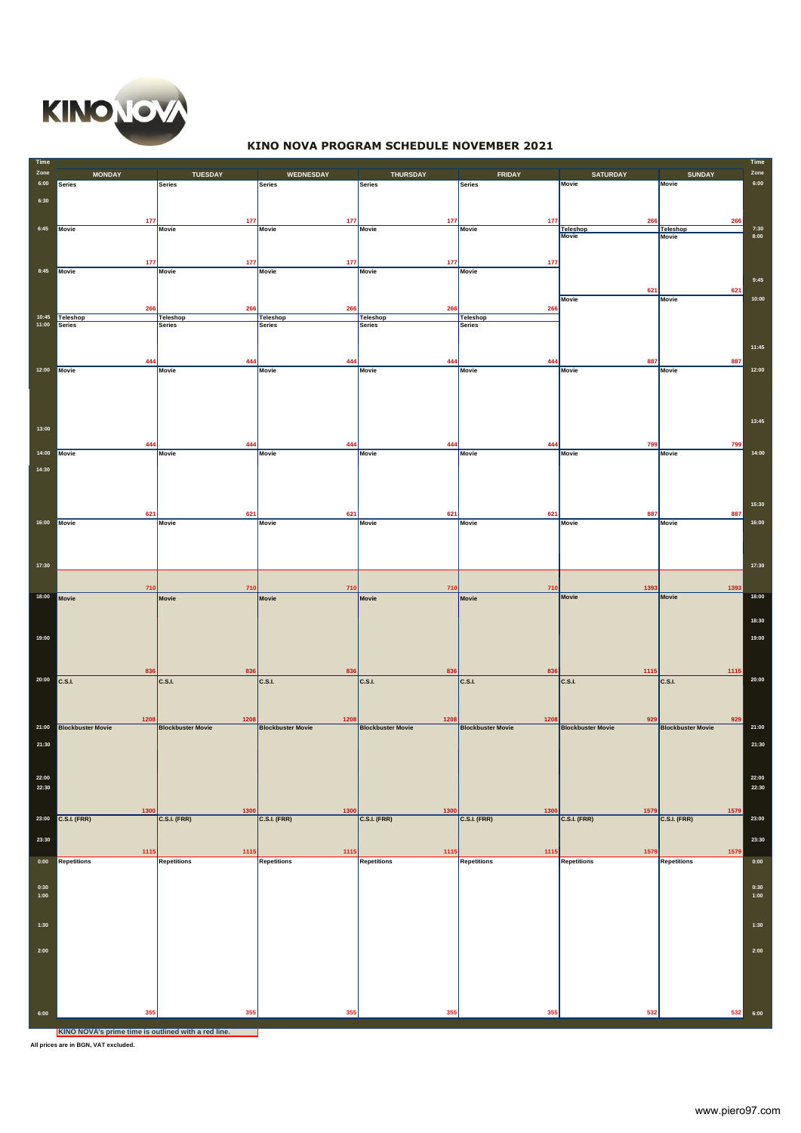

# **KINO NOVA PROGRAM SCHEDULE NOVEMBER 2021**

| Time<br>Zone | <b>MONDAY</b>                                       | <b>TUESDAY</b>           | WEDNESDAY                | <b>THURSDAY</b>            | <b>FRIDAY</b>            | <b>SATURDAY</b>                 | <b>SUNDAY</b>            | Time<br>Zone |
|--------------|-----------------------------------------------------|--------------------------|--------------------------|----------------------------|--------------------------|---------------------------------|--------------------------|--------------|
| 6:00         | Series                                              | Series                   | <b>Series</b>            | <b>Series</b>              | <b>Series</b>            | <b>Movie</b>                    | <b>Movie</b>             | 6:00         |
| 6:30         |                                                     |                          |                          |                            |                          |                                 |                          |              |
|              | 177                                                 | 177                      | 177                      | 177                        | 177                      | 26                              | 266                      |              |
| 6:45         | Movie                                               | <b>Movie</b>             | <b>Movie</b>             | <b>Movie</b>               | <b>Movie</b>             | <b>Teleshop</b><br><b>Movie</b> | <b>Teleshop</b><br>Movie | 7:30<br>8:00 |
|              |                                                     |                          |                          |                            |                          |                                 |                          |              |
| 8:45         | 177<br>Movie                                        | 177<br>Movie             | 177<br>Movie             | 177<br>Movie               | 177<br>Movie             |                                 |                          |              |
|              |                                                     |                          |                          |                            |                          |                                 |                          | 9:45         |
|              |                                                     |                          |                          |                            |                          | 621<br>Movie                    | 621<br><b>Movie</b>      | 10:00        |
| 10:45        | 266<br>Teleshop                                     | 266<br>Teleshop          | 266<br>Teleshop          | 266<br><b>Teleshop</b>     | 266<br>Teleshop          |                                 |                          |              |
| 11:00        | Series                                              | <b>Series</b>            | <b>Series</b>            | <b>Series</b>              | <b>Series</b>            |                                 |                          |              |
|              |                                                     |                          |                          |                            |                          |                                 |                          | 11:45        |
|              | 44                                                  | 444                      | 444                      | 444                        | 444                      | 887                             | 887                      |              |
| 12:00        | Movie                                               | <b>Movie</b>             | <b>Movie</b>             | Movie                      | Movie                    | <b>Movie</b>                    | <b>Movie</b>             | 12:00        |
|              |                                                     |                          |                          |                            |                          |                                 |                          |              |
|              |                                                     |                          |                          |                            |                          |                                 |                          |              |
| 13:00        |                                                     |                          |                          |                            |                          |                                 |                          | 13:45        |
|              | 44                                                  | 444                      | 444                      | 444                        | 444                      | 799                             | 799                      |              |
| 14:00        | Movie                                               | Movie                    | Movie                    | Movie                      | Movie                    | <b>Movie</b>                    | <b>Movie</b>             | 14:00        |
| 14:30        |                                                     |                          |                          |                            |                          |                                 |                          |              |
|              |                                                     |                          |                          |                            |                          |                                 |                          |              |
|              |                                                     |                          |                          |                            |                          |                                 |                          | 15:30        |
| 16:00        | 621<br>Movie                                        | 621<br>Movie             | 621<br><b>Movie</b>      | 621<br>Movie               | 621<br><b>Movie</b>      | 887<br><b>Movie</b>             | 887<br><b>Movie</b>      | 16:00        |
|              |                                                     |                          |                          |                            |                          |                                 |                          |              |
|              |                                                     |                          |                          |                            |                          |                                 |                          |              |
| 17:30        |                                                     |                          |                          |                            |                          |                                 |                          | 17:30        |
|              | 710                                                 | 710                      | 710                      | 710                        | 710                      | 1393                            | 1393                     |              |
| 18:00        | Movie                                               | Movie                    | Movie                    | Movie                      | Movie                    | <b>Movie</b>                    | <b>Movie</b>             | 18:00        |
|              |                                                     |                          |                          |                            |                          |                                 |                          | 18:30        |
| 19:00        |                                                     |                          |                          |                            |                          |                                 |                          | 19:00        |
|              |                                                     |                          |                          |                            |                          |                                 |                          |              |
|              | 836                                                 | 836                      | 836                      | 836                        | 836                      |                                 |                          |              |
| 20:00        | C.S.I.                                              | C.S.I.                   | <b>C.S.I.</b>            | <b>C.S.I.</b>              | <b>C.S.I.</b>            | 1115<br><b>C.S.I.</b>           | 1115<br><b>C.S.I.</b>    | 20:00        |
|              |                                                     |                          |                          |                            |                          |                                 |                          |              |
|              | 1208                                                | 1208                     | 1208                     | 1208                       | 1208                     | 929                             | 929                      |              |
| 21:00        | <b>Blockbuster Movie</b>                            | <b>Blockbuster Movie</b> | <b>Blockbuster Movie</b> | <b>Blockbuster Movie</b>   | <b>Blockbuster Movie</b> | <b>Blockbuster Movie</b>        | <b>Blockbuster Movie</b> | 21:00        |
| 21:30        |                                                     |                          |                          |                            |                          |                                 |                          | 21:30        |
|              |                                                     |                          |                          |                            |                          |                                 |                          |              |
| 22:00        |                                                     |                          |                          |                            |                          |                                 |                          | 22:00        |
| 22:30        |                                                     |                          |                          |                            |                          |                                 |                          | 22:30        |
|              | 1300                                                | 1300                     | 1300                     | 1300                       | 1300                     | 1579                            | 1579                     |              |
| 23:00        | $C.S.I.$ (FRR)                                      | C.S.I. (FRR)             | <b>C.S.I. (FRR)</b>      | <b>C.S.I. (FRR)</b>        | <b>C.S.I. (FRR)</b>      | <b>C.S.I. (FRR)</b>             | C.S.I. (FRR)             | 23:00        |
| 23:30        |                                                     |                          |                          |                            |                          |                                 |                          | 23:30        |
| 0:00         | 1115<br>Repetitions                                 | 1115<br>Repetitions      | 1115<br>Repetitions      | 1115<br><b>Repetitions</b> | 1115<br>Repetitions      | 1579<br><b>Repetitions</b>      | 1579<br>Repetitions      | 0:00         |
|              |                                                     |                          |                          |                            |                          |                                 |                          |              |
| 0:30<br>1:00 |                                                     |                          |                          |                            |                          |                                 |                          | 0:30<br>1:00 |
|              |                                                     |                          |                          |                            |                          |                                 |                          |              |
| 1:30         |                                                     |                          |                          |                            |                          |                                 |                          | 1:30         |
|              |                                                     |                          |                          |                            |                          |                                 |                          |              |
| 2:00         |                                                     |                          |                          |                            |                          |                                 |                          | 2:00         |
|              |                                                     |                          |                          |                            |                          |                                 |                          |              |
|              |                                                     |                          |                          |                            |                          |                                 |                          |              |
|              |                                                     |                          |                          |                            |                          |                                 |                          |              |
| 6:00         | 355                                                 | 355                      | 355                      | 355                        | 355                      | 532                             | 532                      | 6:00         |
|              | KINO NOVA's prime time is outlined with a red line. |                          |                          |                            |                          |                                 |                          |              |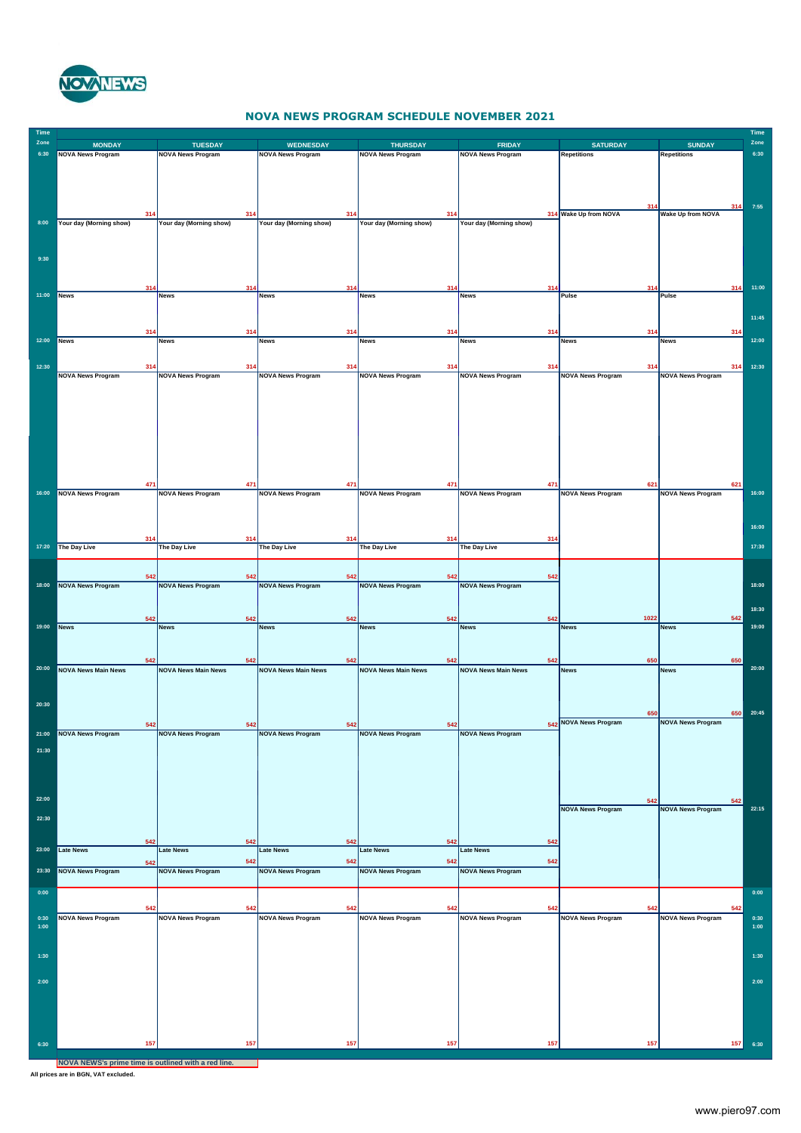

## **NOVA NEWS PROGRAM SCHEDULE NOVEMBER 2021**

| Time<br>Zone | <b>MONDAY</b>              | <b>TUESDAY</b>                  | <b>WEDNESDAY</b>                | <b>THURSDAY</b>                 | <b>FRIDAY</b>                   | <b>SATURDAY</b>                 | <b>SUNDAY</b>                   | Time<br>Zone |
|--------------|----------------------------|---------------------------------|---------------------------------|---------------------------------|---------------------------------|---------------------------------|---------------------------------|--------------|
| 6:30         | <b>NOVA News Program</b>   | <b>NOVA News Program</b>        | <b>NOVA News Program</b>        | <b>NOVA News Program</b>        | <b>NOVA News Program</b>        | <b>Repetitions</b>              | Repetitions                     | 6:30         |
|              |                            |                                 |                                 |                                 |                                 |                                 |                                 |              |
|              |                            |                                 |                                 |                                 |                                 |                                 |                                 |              |
|              |                            |                                 |                                 |                                 |                                 |                                 |                                 |              |
|              | 314                        | 314                             | 314                             | 314                             |                                 | 314 Wake Up from NOVA           | 314<br><b>Wake Up from NOVA</b> | 7:55         |
| 8:00         | Your day (Morning show)    | Your day (Morning show)         | Your day (Morning show)         | Your day (Morning show)         | Your day (Morning show)         |                                 |                                 |              |
|              |                            |                                 |                                 |                                 |                                 |                                 |                                 |              |
| 9:30         |                            |                                 |                                 |                                 |                                 |                                 |                                 |              |
|              |                            |                                 |                                 |                                 |                                 |                                 |                                 |              |
|              |                            |                                 |                                 |                                 |                                 |                                 |                                 |              |
| 11:00        | 31<br>News                 | <b>News</b>                     | <b>News</b>                     | 31<br><b>News</b>               | 31<br><b>News</b>               | Pulse                           | 314<br>Pulse                    | 11:00        |
|              |                            |                                 |                                 |                                 |                                 |                                 |                                 |              |
|              |                            |                                 |                                 |                                 |                                 |                                 |                                 | 11:45        |
| 12:00        | 314<br>News                | 314<br><b>News</b>              | 314<br><b>News</b>              | 314<br><b>News</b>              | 314<br><b>News</b>              | 31 <sub>0</sub>                 | 314                             | 12:00        |
|              |                            |                                 |                                 |                                 |                                 | <b>News</b>                     | News                            |              |
| 12:30        | 314                        | 314                             | 314                             | 314                             | 314                             | 314                             | 314                             | 12:30        |
|              | <b>NOVA News Program</b>   | <b>NOVA News Program</b>        | <b>NOVA News Program</b>        | <b>NOVA News Program</b>        | <b>NOVA News Program</b>        | <b>NOVA News Program</b>        | <b>NOVA News Program</b>        |              |
|              |                            |                                 |                                 |                                 |                                 |                                 |                                 |              |
|              |                            |                                 |                                 |                                 |                                 |                                 |                                 |              |
|              |                            |                                 |                                 |                                 |                                 |                                 |                                 |              |
|              |                            |                                 |                                 |                                 |                                 |                                 |                                 |              |
|              |                            |                                 |                                 |                                 |                                 |                                 |                                 |              |
|              |                            |                                 |                                 |                                 |                                 |                                 |                                 |              |
|              |                            |                                 |                                 |                                 |                                 |                                 |                                 |              |
|              | 471                        | 471                             | 471                             | 471                             | 471                             | 621                             | 621                             |              |
| 16:00        | <b>NOVA News Program</b>   | <b>NOVA News Program</b>        | <b>NOVA News Program</b>        | <b>NOVA News Program</b>        | <b>NOVA News Program</b>        | <b>NOVA News Program</b>        | <b>NOVA News Program</b>        | 16:00        |
|              |                            |                                 |                                 |                                 |                                 |                                 |                                 |              |
|              |                            |                                 |                                 |                                 |                                 |                                 |                                 | 16:00        |
|              | 314                        | 314                             | 314                             | 314                             | 314                             |                                 |                                 |              |
| 17:20        | The Day Live               | The Day Live                    | The Day Live                    | The Day Live                    | The Day Live                    |                                 |                                 | 17:30        |
|              |                            |                                 |                                 |                                 |                                 |                                 |                                 |              |
|              | 542                        | 542                             | 542                             | 542                             | 542                             |                                 |                                 |              |
| 18:00        | <b>NOVA News Program</b>   | <b>NOVA News Program</b>        | <b>NOVA News Program</b>        | <b>NOVA News Program</b>        | <b>NOVA News Program</b>        |                                 |                                 | 18:00        |
|              |                            |                                 |                                 |                                 |                                 |                                 |                                 |              |
|              | 542                        | 542                             | 542                             | 542                             | 542                             | 1022                            | 542                             | 18:30        |
| 19:00        | <b>News</b>                | <b>News</b>                     | <b>News</b>                     | <b>News</b>                     | <b>News</b>                     | <b>News</b>                     | <b>News</b>                     | 19:00        |
|              |                            |                                 |                                 |                                 |                                 |                                 |                                 |              |
|              | 542                        | 542                             | 542                             | 542                             | 542                             | 650                             | 650                             |              |
| 20:00        | <b>NOVA News Main News</b> | <b>NOVA News Main News</b>      | <b>NOVA News Main News</b>      | <b>NOVA News Main News</b>      | <b>NOVA News Main News</b>      | <b>News</b>                     | <b>News</b>                     | 20:00        |
|              |                            |                                 |                                 |                                 |                                 |                                 |                                 |              |
|              |                            |                                 |                                 |                                 |                                 |                                 |                                 |              |
| 20:30        |                            |                                 |                                 |                                 |                                 | 650                             | 650                             | 20:45        |
|              | 542                        | 542                             | 542                             | 542                             |                                 | 542 NOVA News Program           | <b>NOVA News Program</b>        |              |
|              | <b>NOVA Ne</b>             |                                 |                                 |                                 | <b>NOVA News Program</b>        |                                 |                                 |              |
| 21:30        |                            |                                 |                                 |                                 |                                 |                                 |                                 |              |
|              |                            |                                 |                                 |                                 |                                 |                                 |                                 |              |
|              |                            |                                 |                                 |                                 |                                 |                                 |                                 |              |
|              |                            |                                 |                                 |                                 |                                 |                                 |                                 |              |
| 22:00        |                            |                                 |                                 |                                 |                                 | 542<br><b>NOVA News Program</b> | 542<br><b>NOVA News Program</b> | 22:15        |
| 22:30        |                            |                                 |                                 |                                 |                                 |                                 |                                 |              |
|              |                            |                                 |                                 |                                 |                                 |                                 |                                 |              |
| 23:00        | 542<br><b>Late News</b>    | 542<br><b>Late News</b>         | 542<br>Late News                | 542<br><b>Late News</b>         | 542<br><b>Late News</b>         |                                 |                                 |              |
|              | 542                        | 542                             | 542                             | 542                             | 542                             |                                 |                                 |              |
| 23:30        | <b>NOVA News Program</b>   | <b>NOVA News Program</b>        | <b>NOVA News Program</b>        | <b>NOVA News Program</b>        | <b>NOVA News Program</b>        |                                 |                                 |              |
|              |                            |                                 |                                 |                                 |                                 |                                 |                                 |              |
| 0:00         |                            |                                 |                                 |                                 |                                 |                                 |                                 | 0:00         |
| 0:30         | 542                        | 542<br><b>NOVA News Program</b> | 542<br><b>NOVA News Program</b> | 542<br><b>NOVA News Program</b> | 542<br><b>NOVA News Program</b> | 542                             | 542<br><b>NOVA News Program</b> | 0:30         |
| 1:00         | <b>NOVA News Program</b>   |                                 |                                 |                                 |                                 | <b>NOVA News Program</b>        |                                 | 1:00         |
|              |                            |                                 |                                 |                                 |                                 |                                 |                                 |              |
| 1:30         |                            |                                 |                                 |                                 |                                 |                                 |                                 | 1:30         |
|              |                            |                                 |                                 |                                 |                                 |                                 |                                 |              |
| 2:00         |                            |                                 |                                 |                                 |                                 |                                 |                                 | 2:00         |
|              |                            |                                 |                                 |                                 |                                 |                                 |                                 |              |
|              |                            |                                 |                                 |                                 |                                 |                                 |                                 |              |
|              |                            |                                 |                                 |                                 |                                 |                                 |                                 |              |
|              |                            |                                 |                                 |                                 |                                 |                                 |                                 |              |
| 6:30         | 157                        | 157                             | 157                             | 157                             | 157                             | 157                             | 157                             | 6:30         |
|              |                            |                                 |                                 |                                 |                                 |                                 |                                 |              |